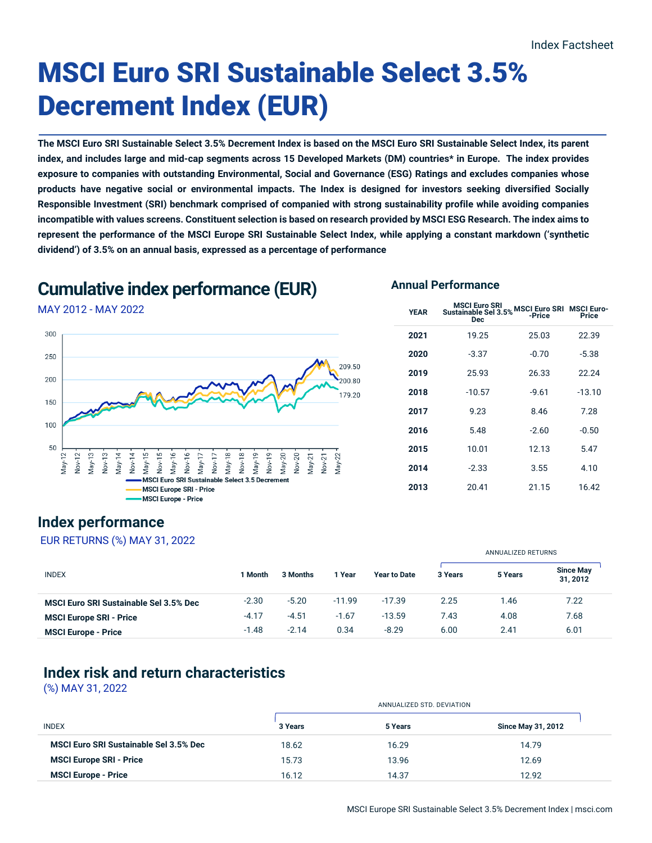# MSCI Euro SRI Sustainable Select 3.5% Decrement Index (EUR)

**The MSCI Euro SRI Sustainable Select 3.5% Decrement Index is based on the MSCI Euro SRI Sustainable Select Index, its parent index, and includes large and mid-cap segments across 15 Developed Markets (DM) countries\* in Europe. The index provides exposure to companies with outstanding Environmental, Social and Governance (ESG) Ratings and excludes companies whose products have negative social or environmental impacts. The Index is designed for investors seeking diversified Socially Responsible Investment (SRI) benchmark comprised of companied with strong sustainability profile while avoiding companies incompatible with values screens. Constituent selection is based on research provided by MSCI ESG Research. The index aims to represent the performance of the MSCI Europe SRI Sustainable Select Index, while applying a constant markdown ('synthetic dividend') of 3.5% on an annual basis, expressed as a percentage of performance**

## **Cumulative index performance (EUR)**

## MAY 2012 - MAY 2022



### **Annual Performance**

| <b>YEAR</b> | <b>MSCI Euro SRI</b><br><b>Sustainable Sel 3.5%</b><br><b>Dec</b> | <b>MSCI Euro SRI MSCI Euro-</b><br>-Price | <b>Price</b> |
|-------------|-------------------------------------------------------------------|-------------------------------------------|--------------|
| 2021        | 19.25                                                             | 25.03                                     | 22.39        |
| 2020        | $-3.37$                                                           | $-0.70$                                   | $-5.38$      |
| 2019        | 25.93                                                             | 26.33                                     | 22.24        |
| 2018        | $-10.57$                                                          | $-9.61$                                   | $-13.10$     |
| 2017        | 9.23                                                              | 8.46                                      | 7.28         |
| 2016        | 5.48                                                              | $-2.60$                                   | $-0.50$      |
| 2015        | 10.01                                                             | 12.13                                     | 5.47         |
| 2014        | $-2.33$                                                           | 3.55                                      | 4.10         |
| 2013        | 20.41                                                             | 21.15                                     | 16.42        |

ANNUALIZED RETURNS

## **Index performance**

#### EUR RETURNS (%) MAY 31, 2022

| <b>INDEX</b>                                  | 1 Month | 3 Months | l Year   | <b>Year to Date</b> | 3 Years | 5 Years | <b>Since May</b><br>31, 2012 |
|-----------------------------------------------|---------|----------|----------|---------------------|---------|---------|------------------------------|
| <b>MSCI Euro SRI Sustainable Sel 3.5% Dec</b> | $-2.30$ | $-5.20$  | $-11.99$ | $-17.39$            | 2.25    | 1.46    | 7.22                         |
| <b>MSCI Europe SRI - Price</b>                | $-4.17$ | $-4.51$  | $-1.67$  | $-13.59$            | 7.43    | 4.08    | 7.68                         |
| <b>MSCI Europe - Price</b>                    | $-1.48$ | $-2.14$  | 0.34     | $-8.29$             | 6.00    | 2.41    | 6.01                         |

## **Index risk and return characteristics**

(%) MAY 31, 2022

|                                               |         | ANNUALIZED STD. DEVIATION |                           |  |
|-----------------------------------------------|---------|---------------------------|---------------------------|--|
| <b>INDEX</b>                                  | 3 Years | 5 Years                   | <b>Since May 31, 2012</b> |  |
| <b>MSCI Euro SRI Sustainable Sel 3.5% Dec</b> | 18.62   | 16.29                     | 14.79                     |  |
| <b>MSCI Europe SRI - Price</b>                | 15.73   | 13.96                     | 12.69                     |  |
| <b>MSCI Europe - Price</b>                    | 16.12   | 14.37                     | 12.92                     |  |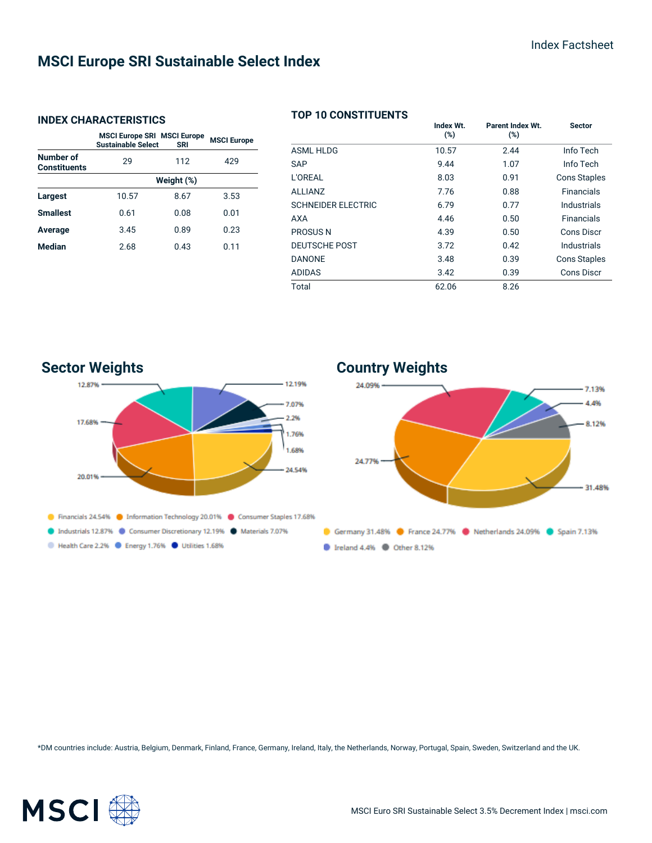## **MSCI Europe SRI Sustainable Select Index**

#### **INDEX CHARACTERISTICS**

|                                         | <b>MSCI Europe SRI MSCI Europe</b><br><b>Sustainable Select</b> | <b>SRI</b> | <b>MSCI Europe</b> |  |
|-----------------------------------------|-----------------------------------------------------------------|------------|--------------------|--|
| <b>Number of</b><br><b>Constituents</b> | 29                                                              | 112        | 429                |  |
|                                         | Weight (%)                                                      |            |                    |  |
| Largest                                 | 10.57                                                           | 8.67       | 3.53               |  |
| <b>Smallest</b>                         | 0.61                                                            | 0.08       | 0.01               |  |
| Average                                 | 3.45                                                            | 0.89       | 0.23               |  |
| <b>Median</b>                           | 2.68                                                            | 0.43       | 0.11               |  |

#### **TOP 10 CONSTITUENTS**

|                           | Index Wt.<br>$(\%)$ | Parent Index Wt.<br>(%) | <b>Sector</b>       |
|---------------------------|---------------------|-------------------------|---------------------|
| <b>ASML HLDG</b>          | 10.57               | 2.44                    | Info Tech           |
| <b>SAP</b>                | 9.44                | 1.07                    | Info Tech           |
| L'OREAL                   | 8.03                | 0.91                    | <b>Cons Staples</b> |
| <b>ALLIANZ</b>            | 7.76                | 0.88                    | <b>Financials</b>   |
| <b>SCHNEIDER ELECTRIC</b> | 6.79                | 0.77                    | Industrials         |
| <b>AXA</b>                | 4.46                | 0.50                    | <b>Financials</b>   |
| <b>PROSUS N</b>           | 4.39                | 0.50                    | Cons Discr          |
| <b>DEUTSCHE POST</b>      | 3.72                | 0.42                    | Industrials         |
| <b>DANONE</b>             | 3.48                | 0.39                    | <b>Cons Staples</b> |
| <b>ADIDAS</b>             | 3.42                | 0.39                    | <b>Cons Discr</b>   |
| Total                     | 62.06               | 8.26                    |                     |





\*DM countries include: Austria, Belgium, Denmark, Finland, France, Germany, Ireland, Italy, the Netherlands, Norway, Portugal, Spain, Sweden, Switzerland and the UK.